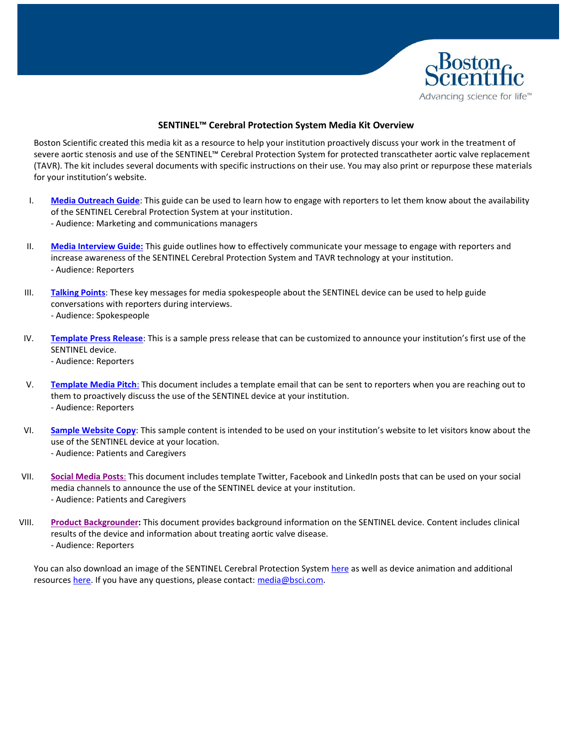

#### **SENTINEL™ Cerebral Protection System Media Kit Overview**

Boston Scientific created this media kit as a resource to help your institution proactively discuss your work in the treatment of severe aortic stenosis and use of the SENTINEL™ Cerebral Protection System for protected transcatheter aortic valve replacement (TAVR). The kit includes several documents with specific instructions on their use. You may also print or repurpose these materials for your institution's website.

- I. **[Media Outreach Guide](#page-1-0)**: This guide can be used to learn how to engage with reporters to let them know about the availability of the SENTINEL Cerebral Protection System at your institution. - Audience: Marketing and communications managers
- II. **[Media Interview Guide:](#page-2-0)** This guide outlines how to effectively communicate your message to engage with reporters and increase awareness of the SENTINEL Cerebral Protection System and TAVR technology at your institution. - Audience: Reporters
- III. **[Talking Points](#page-3-0)**: These key messages for media spokespeople about the SENTINEL device can be used to help guide conversations with reporters during interviews. - Audience: Spokespeople
- IV. **[Template Press Release](#page-5-0)**: This is a sample press release that can be customized to announce your institution's first use of the SENTINEL device. - Audience: Reporters
- V. **[Template Media Pitch](#page-7-0)**: This document includes a template email that can be sent to reporters when you are reaching out to them to proactively discuss the use of the SENTINEL device at your institution. - Audience: Reporters
- VI. **[Sample Website Copy](#page-9-0)**: This sample content is intended to be used on your institution's website to let visitors know about the use of the SENTINEL device at your location. - Audience: Patients and Caregivers
- VII. **[Social Media Posts](#page-10-0)**: This document includes template Twitter, Facebook and LinkedIn posts that can be used on your social media channels to announce the use of the SENTINEL device at your institution. - Audience: Patients and Caregivers
- VIII. **[Product Backgrounder:](#page-11-0)** This document provides background information on the SENTINEL device. Content includes clinical results of the device and information about treating aortic valve disease. - Audience: Reporters

You can also download an image of the SENTINEL Cerebral Protection System [here](http://news.bostonscientific.com/image-gallery?cat=2982) as well as device animation and additional resources [here.](https://www.bostonscientific.com/en-US/medical-specialties/structural-heart/sentinel-cerebral-protection-system/sentinel-resources.html) If you have any questions, please contact: [media@bsci.com.](mailto:media@bsci.com)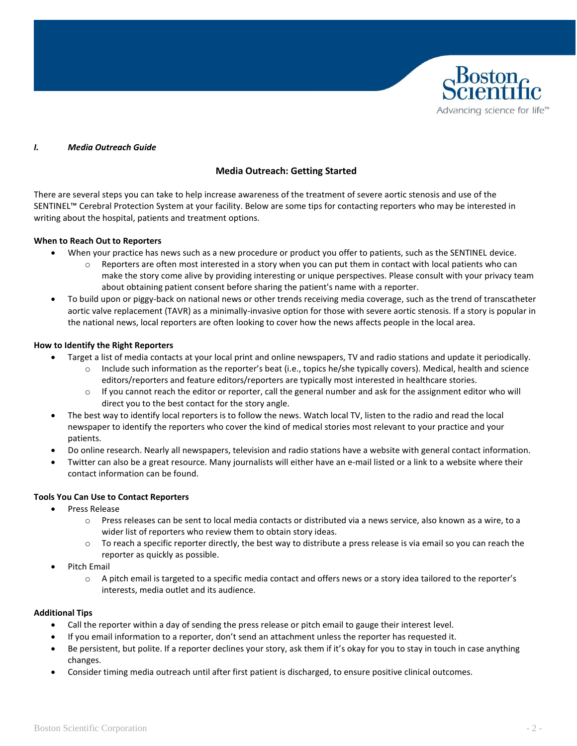

#### *I. Media Outreach Guide*

#### <span id="page-1-0"></span>**Media Outreach: Getting Started**

There are several steps you can take to help increase awareness of the treatment of severe aortic stenosis and use of the SENTINEL™ Cerebral Protection System at your facility. Below are some tips for contacting reporters who may be interested in writing about the hospital, patients and treatment options.

#### **When to Reach Out to Reporters**

- When your practice has news such as a new procedure or product you offer to patients, such as the SENTINEL device.
	- $\circ$  Reporters are often most interested in a story when you can put them in contact with local patients who can make the story come alive by providing interesting or unique perspectives. Please consult with your privacy team about obtaining patient consent before sharing the patient's name with a reporter.
- To build upon or piggy-back on national news or other trends receiving media coverage, such as the trend of transcatheter aortic valve replacement (TAVR) as a minimally-invasive option for those with severe aortic stenosis. If a story is popular in the national news, local reporters are often looking to cover how the news affects people in the local area.

#### **How to Identify the Right Reporters**

- Target a list of media contacts at your local print and online newspapers, TV and radio stations and update it periodically.
	- $\circ$  Include such information as the reporter's beat (i.e., topics he/she typically covers). Medical, health and science editors/reporters and feature editors/reporters are typically most interested in healthcare stories.
	- $\circ$  If you cannot reach the editor or reporter, call the general number and ask for the assignment editor who will direct you to the best contact for the story angle.
- The best way to identify local reporters is to follow the news. Watch local TV, listen to the radio and read the local newspaper to identify the reporters who cover the kind of medical stories most relevant to your practice and your patients.
- Do online research. Nearly all newspapers, television and radio stations have a website with general contact information.
- Twitter can also be a great resource. Many journalists will either have an e-mail listed or a link to a website where their contact information can be found.

#### **Tools You Can Use to Contact Reporters**

- Press Release
	- o Press releases can be sent to local media contacts or distributed via a news service, also known as a wire, to a wider list of reporters who review them to obtain story ideas.
	- $\circ$  To reach a specific reporter directly, the best way to distribute a press release is via email so you can reach the reporter as quickly as possible.
- Pitch Email
	- o A pitch email is targeted to a specific media contact and offers news or a story idea tailored to the reporter's interests, media outlet and its audience.

#### **Additional Tips**

- Call the reporter within a day of sending the press release or pitch email to gauge their interest level.
- If you email information to a reporter, don't send an attachment unless the reporter has requested it.
- Be persistent, but polite. If a reporter declines your story, ask them if it's okay for you to stay in touch in case anything changes.
- Consider timing media outreach until after first patient is discharged, to ensure positive clinical outcomes.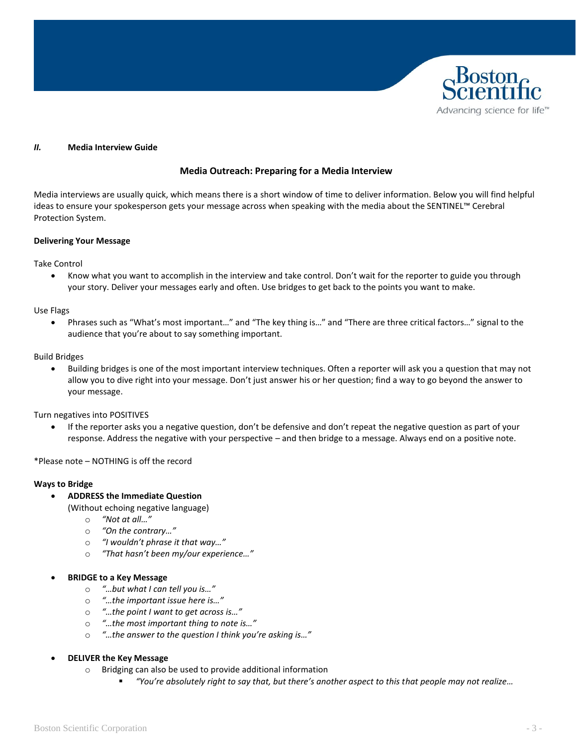

#### <span id="page-2-0"></span>*II.* **Media Interview Guide**

#### **Media Outreach: Preparing for a Media Interview**

Media interviews are usually quick, which means there is a short window of time to deliver information. Below you will find helpful ideas to ensure your spokesperson gets your message across when speaking with the media about the SENTINEL™ Cerebral Protection System.

#### **Delivering Your Message**

Take Control

• Know what you want to accomplish in the interview and take control. Don't wait for the reporter to guide you through your story. Deliver your messages early and often. Use bridges to get back to the points you want to make.

Use Flags

• Phrases such as "What's most important…" and "The key thing is…" and "There are three critical factors…" signal to the audience that you're about to say something important.

Build Bridges

• Building bridges is one of the most important interview techniques. Often a reporter will ask you a question that may not allow you to dive right into your message. Don't just answer his or her question; find a way to go beyond the answer to your message.

Turn negatives into POSITIVES

• If the reporter asks you a negative question, don't be defensive and don't repeat the negative question as part of your response. Address the negative with your perspective – and then bridge to a message. Always end on a positive note.

\*Please note – NOTHING is off the record

#### **Ways to Bridge**

#### • **ADDRESS the Immediate Question**

- (Without echoing negative language)
	- o *"Not at all…"*
	- o *"On the contrary…"*
	- o *"I wouldn't phrase it that way…"*
	- o *"That hasn't been my/our experience…"*

#### • **BRIDGE to a Key Message**

- o *"…but what I can tell you is…"*
- o *"…the important issue here is…"*
- o *"…the point I want to get across is…"*
- o *"…the most important thing to note is…"*
- o *"…the answer to the question I think you're asking is…"*
- **DELIVER the Key Message**
	- o Bridging can also be used to provide additional information
		- *"You're absolutely right to say that, but there's another aspect to this that people may not realize…*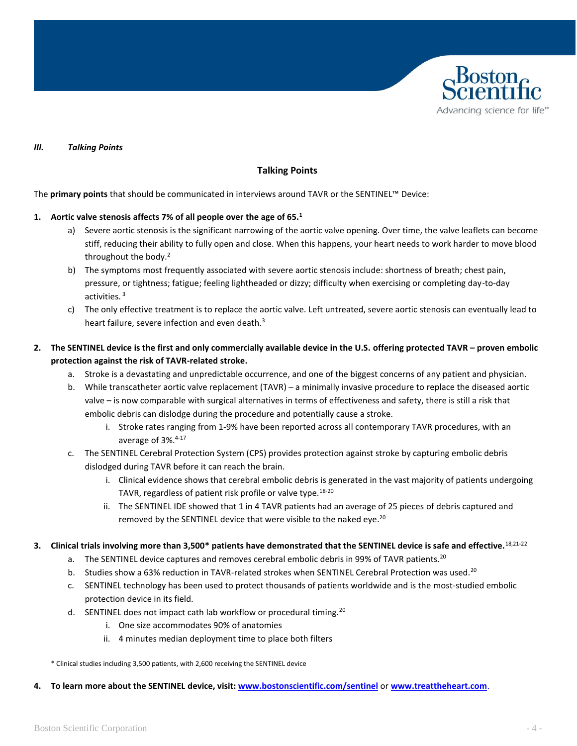

#### <span id="page-3-0"></span>*III. Talking Points*

#### **Talking Points**

The **primary points** that should be communicated in interviews around TAVR or the SENTINEL™ Device:

#### **1. Aortic valve stenosis affects 7% of all people over the age of 65.<sup>1</sup>**

- a) Severe aortic stenosis is the significant narrowing of the aortic valve opening. Over time, the valve leaflets can become stiff, reducing their ability to fully open and close. When this happens, your heart needs to work harder to move blood throughout the body.<sup>2</sup>
- b) The symptoms most frequently associated with severe aortic stenosis include: shortness of breath; chest pain, pressure, or tightness; fatigue; feeling lightheaded or dizzy; difficulty when exercising or completing day-to-day activities. <sup>3</sup>
- c) The only effective treatment is to replace the aortic valve. Left untreated, severe aortic stenosis can eventually lead to heart failure, severe infection and even death.<sup>3</sup>
- **2. The SENTINEL device is the first and only commercially available device in the U.S. offering protected TAVR – proven embolic protection against the risk of TAVR-related stroke.**
	- a. Stroke is a devastating and unpredictable occurrence, and one of the biggest concerns of any patient and physician.
	- b. While transcatheter aortic valve replacement (TAVR) a minimally invasive procedure to replace the diseased aortic valve – is now comparable with surgical alternatives in terms of effectiveness and safety, there is still a risk that embolic debris can dislodge during the procedure and potentially cause a stroke.
		- i. Stroke rates ranging from 1-9% have been reported across all contemporary TAVR procedures, with an average of 3%. 4-17
	- c. The SENTINEL Cerebral Protection System (CPS) provides protection against stroke by capturing embolic debris dislodged during TAVR before it can reach the brain.
		- i. Clinical evidence shows that cerebral embolic debris is generated in the vast majority of patients undergoing TAVR, regardless of patient risk profile or valve type.<sup>18-20</sup>
		- ii. The SENTINEL IDE showed that 1 in 4 TAVR patients had an average of 25 pieces of debris captured and removed by the SENTINEL device that were visible to the naked eye.<sup>20</sup>
- **3. Clinical trials involving more than 3,500\* patients have demonstrated that the SENTINEL device is safe and effective.**18,21-22
	- a. The SENTINEL device captures and removes cerebral embolic debris in 99% of TAVR patients.<sup>20</sup>
	- b. Studies show a 63% reduction in TAVR-related strokes when SENTINEL Cerebral Protection was used.<sup>20</sup>
	- c. SENTINEL technology has been used to protect thousands of patients worldwide and is the most-studied embolic protection device in its field.
	- d. SENTINEL does not impact cath lab workflow or procedural timing.<sup>20</sup>
		- i. One size accommodates 90% of anatomies
		- ii. 4 minutes median deployment time to place both filters

\* Clinical studies including 3,500 patients, with 2,600 receiving the SENTINEL device

**4. To learn more about the SENTINEL device, visit: [www.bostonscientific.com/sentinel](http://www.bostonscientific.com/sentinel)** or **[www.treattheheart.com](http://www.treattheheart.com/)**.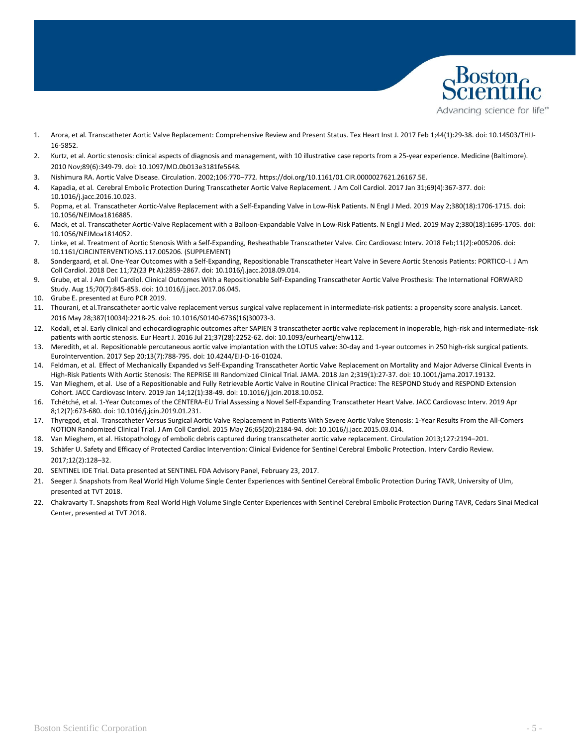

- 1. Arora, et al. Transcatheter Aortic Valve Replacement: Comprehensive Review and Present Status. Tex Heart Inst J. 2017 Feb 1;44(1):29-38. doi: 10.14503/THIJ-16-5852.
- 2. Kurtz, et al. Aortic stenosis: clinical aspects of diagnosis and management, with 10 illustrative case reports from a 25-year experience. Medicine (Baltimore). 2010 Nov;89(6):349-79. doi: 10.1097/MD.0b013e3181fe5648.
- 3. Nishimura RA. Aortic Valve Disease. Circulation. 2002;106:770–772. https://doi.org/10.1161/01.CIR.0000027621.26167.5E.
- 4. Kapadia, et al. Cerebral Embolic Protection During Transcatheter Aortic Valve Replacement. J Am Coll Cardiol. 2017 Jan 31;69(4):367-377. doi: 10.1016/j.jacc.2016.10.023.
- 5. Popma, et al. Transcatheter Aortic-Valve Replacement with a Self-Expanding Valve in Low-Risk Patients. N Engl J Med. 2019 May 2;380(18):1706-1715. doi: 10.1056/NEJMoa1816885.
- 6. Mack, et al. Transcatheter Aortic-Valve Replacement with a Balloon-Expandable Valve in Low-Risk Patients. N Engl J Med. 2019 May 2;380(18):1695-1705. doi: 10.1056/NEJMoa1814052.
- 7. Linke, et al. Treatment of Aortic Stenosis With a Self-Expanding, Resheathable Transcatheter Valve. Circ Cardiovasc Interv. 2018 Feb;11(2):e005206. doi: 10.1161/CIRCINTERVENTIONS.117.005206. (SUPPLEMENT)
- 8. Sondergaard, et al. One-Year Outcomes with a Self-Expanding, Repositionable Transcatheter Heart Valve in Severe Aortic Stenosis Patients: PORTICO-I. J Am Coll Cardiol. 2018 Dec 11;72(23 Pt A):2859-2867. doi: 10.1016/j.jacc.2018.09.014.
- 9. Grube, et al. J Am Coll Cardiol. Clinical Outcomes With a Repositionable Self-Expanding Transcatheter Aortic Valve Prosthesis: The International FORWARD Study. Aug 15;70(7):845-853. doi: 10.1016/j.jacc.2017.06.045.
- 10. Grube E. presented at Euro PCR 2019.
- 11. Thourani, et al.Transcatheter aortic valve replacement versus surgical valve replacement in intermediate-risk patients: a propensity score analysis. Lancet. 2016 May 28;387(10034):2218-25. doi: 10.1016/S0140-6736(16)30073-3.
- 12. Kodali, et al. Early clinical and echocardiographic outcomes after SAPIEN 3 transcatheter aortic valve replacement in inoperable, high-risk and intermediate-risk patients with aortic stenosis. Eur Heart J. 2016 Jul 21;37(28):2252-62. doi: 10.1093/eurheartj/ehw112.
- 13. Meredith, et al. Repositionable percutaneous aortic valve implantation with the LOTUS valve: 30-day and 1-year outcomes in 250 high-risk surgical patients. EuroIntervention. 2017 Sep 20;13(7):788-795. doi: 10.4244/EIJ-D-16-01024.
- 14. Feldman, et al. Effect of Mechanically Expanded vs Self-Expanding Transcatheter Aortic Valve Replacement on Mortality and Major Adverse Clinical Events in High-Risk Patients With Aortic Stenosis: The REPRISE III Randomized Clinical Trial. JAMA. 2018 Jan 2;319(1):27-37. doi: 10.1001/jama.2017.19132.
- 15. Van Mieghem, et al. Use of a Repositionable and Fully Retrievable Aortic Valve in Routine Clinical Practice: The RESPOND Study and RESPOND Extension Cohort. JACC Cardiovasc Interv. 2019 Jan 14;12(1):38-49. doi: 10.1016/j.jcin.2018.10.052.
- 16. Tchétché, et al. 1-Year Outcomes of the CENTERA-EU Trial Assessing a Novel Self-Expanding Transcatheter Heart Valve. JACC Cardiovasc Interv. 2019 Apr 8;12(7):673-680. doi: 10.1016/j.jcin.2019.01.231.
- 17. Thyregod, et al. Transcatheter Versus Surgical Aortic Valve Replacement in Patients With Severe Aortic Valve Stenosis: 1-Year Results From the All-Comers NOTION Randomized Clinical Trial. J Am Coll Cardiol. 2015 May 26;65(20):2184-94. doi: 10.1016/j.jacc.2015.03.014.
- 18. Van Mieghem, et al. Histopathology of embolic debris captured during transcatheter aortic valve replacement. Circulation 2013;127:2194–201.
- 19. Schäfer U. Safety and Efficacy of Protected Cardiac Intervention: Clinical Evidence for Sentinel Cerebral Embolic Protection. Interv Cardio Review. 2017;12(2):128–32.
- 20. SENTINEL IDE Trial. Data presented at SENTINEL FDA Advisory Panel, February 23, 2017.
- 21. Seeger J. Snapshots from Real World High Volume Single Center Experiences with Sentinel Cerebral Embolic Protection During TAVR, University of Ulm, presented at TVT 2018.
- 22. Chakravarty T. Snapshots from Real World High Volume Single Center Experiences with Sentinel Cerebral Embolic Protection During TAVR, Cedars Sinai Medical Center, presented at TVT 2018.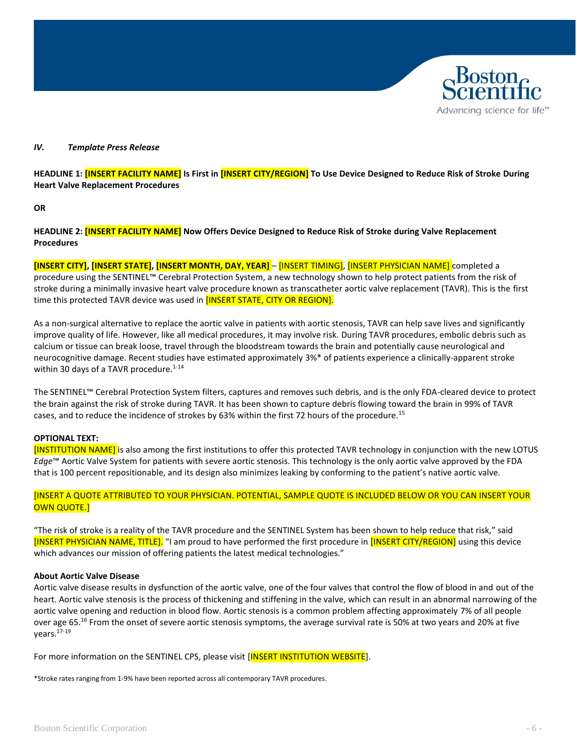# Advancing science for life<sup>™</sup>

#### *IV. Template Press Release*

<span id="page-5-0"></span>**HEADLINE 1: [INSERT FACILITY NAME] Is First in [INSERT CITY/REGION] To Use Device Designed to Reduce Risk of Stroke During Heart Valve Replacement Procedures** 

**OR**

**HEADLINE 2: [INSERT FACILITY NAME] Now Offers Device Designed to Reduce Risk of Stroke during Valve Replacement Procedures** 

**[INSERT CITY], [INSERT STATE], [INSERT MONTH, DAY, YEAR]** – [INSERT TIMING], [INSERT PHYSICIAN NAME] completed a procedure using the SENTINEL™ Cerebral Protection System, a new technology shown to help protect patients from the risk of stroke during a minimally invasive heart valve procedure known as transcatheter aortic valve replacement (TAVR). This is the first time this protected TAVR device was used in [INSERT STATE, CITY OR REGION].

As a non-surgical alternative to replace the aortic valve in patients with aortic stenosis, TAVR can help save lives and significantly improve quality of life. However, like all medical procedures, it may involve risk. During TAVR procedures, embolic debris such as calcium or tissue can break loose, travel through the bloodstream towards the brain and potentially cause neurological and neurocognitive damage. Recent studies have estimated approximately 3%\* of patients experience a clinically-apparent stroke within 30 days of a TAVR procedure. $1-14$ 

The SENTINEL™ Cerebral Protection System filters, captures and removes such debris, and is the only FDA-cleared device to protect the brain against the risk of stroke during TAVR. It has been shown to capture debris flowing toward the brain in 99% of TAVR cases, and to reduce the incidence of strokes by 63% within the first 72 hours of the procedure.<sup>15</sup>

#### **OPTIONAL TEXT:**

[INSTITUTION NAME] is also among the first institutions to offer this protected TAVR technology in conjunction with the new LOTUS *Edge*™ Aortic Valve System for patients with severe aortic stenosis. This technology is the only aortic valve approved by the FDA that is 100 percent repositionable, and its design also minimizes leaking by conforming to the patient's native aortic valve.

#### [INSERT A QUOTE ATTRIBUTED TO YOUR PHYSICIAN. POTENTIAL, SAMPLE QUOTE IS INCLUDED BELOW OR YOU CAN INSERT YOUR OWN QUOTE.]

"The risk of stroke is a reality of the TAVR procedure and the SENTINEL System has been shown to help reduce that risk," said [INSERT PHYSICIAN NAME, TITLE]. "I am proud to have performed the first procedure in [INSERT CITY/REGION] using this device which advances our mission of offering patients the latest medical technologies."

#### **About Aortic Valve Disease**

Aortic valve disease results in dysfunction of the aortic valve, one of the four valves that control the flow of blood in and out of the heart. Aortic valve stenosis is the process of thickening and stiffening in the valve, which can result in an abnormal narrowing of the aortic valve opening and reduction in blood flow. Aortic stenosis is a common problem affecting approximately 7% of all people over age 65.<sup>16</sup> From the onset of severe aortic stenosis symptoms, the average survival rate is 50% at two years and 20% at five years.17-19

For more information on the SENTINEL CPS, please visit [INSERT INSTITUTION WEBSITE].

\*Stroke rates ranging from 1-9% have been reported across all contemporary TAVR procedures.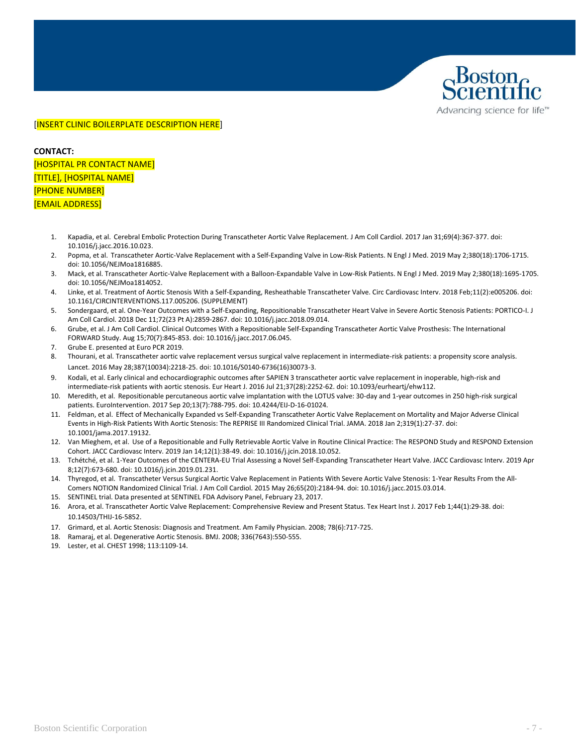

#### [INSERT CLINIC BOILERPLATE DESCRIPTION HERE]

**CONTACT:** 

[HOSPITAL PR CONTACT NAME] [TITLE], [HOSPITAL NAME] [PHONE NUMBER] [EMAIL ADDRESS]

- 1. Kapadia, et al. Cerebral Embolic Protection During Transcatheter Aortic Valve Replacement. J Am Coll Cardiol. 2017 Jan 31;69(4):367-377. doi: 10.1016/j.jacc.2016.10.023.
- 2. Popma, et al. Transcatheter Aortic-Valve Replacement with a Self-Expanding Valve in Low-Risk Patients. N Engl J Med. 2019 May 2;380(18):1706-1715. doi: 10.1056/NEJMoa1816885.
- 3. Mack, et al. Transcatheter Aortic-Valve Replacement with a Balloon-Expandable Valve in Low-Risk Patients. N Engl J Med. 2019 May 2;380(18):1695-1705. doi: 10.1056/NEJMoa1814052.
- 4. Linke, et al. Treatment of Aortic Stenosis With a Self-Expanding, Resheathable Transcatheter Valve. Circ Cardiovasc Interv. 2018 Feb;11(2):e005206. doi: 10.1161/CIRCINTERVENTIONS.117.005206. (SUPPLEMENT)
- 5. Sondergaard, et al. One-Year Outcomes with a Self-Expanding, Repositionable Transcatheter Heart Valve in Severe Aortic Stenosis Patients: PORTICO-I. J Am Coll Cardiol. 2018 Dec 11;72(23 Pt A):2859-2867. doi: 10.1016/j.jacc.2018.09.014.
- 6. Grube, et al. J Am Coll Cardiol. Clinical Outcomes With a Repositionable Self-Expanding Transcatheter Aortic Valve Prosthesis: The International FORWARD Study. Aug 15;70(7):845-853. doi: 10.1016/j.jacc.2017.06.045.
- 7. Grube E. presented at Euro PCR 2019.
- 8. Thourani, et al. Transcatheter aortic valve replacement versus surgical valve replacement in intermediate-risk patients: a propensity score analysis. Lancet. 2016 May 28;387(10034):2218-25. doi: 10.1016/S0140-6736(16)30073-3.
- 9. Kodali, et al. Early clinical and echocardiographic outcomes after SAPIEN 3 transcatheter aortic valve replacement in inoperable, high-risk and intermediate-risk patients with aortic stenosis. Eur Heart J. 2016 Jul 21;37(28):2252-62. doi: 10.1093/eurheartj/ehw112.
- 10. Meredith, et al. Repositionable percutaneous aortic valve implantation with the LOTUS valve: 30-day and 1-year outcomes in 250 high-risk surgical patients. EuroIntervention. 2017 Sep 20;13(7):788-795. doi: 10.4244/EIJ-D-16-01024.
- 11. Feldman, et al. Effect of Mechanically Expanded vs Self-Expanding Transcatheter Aortic Valve Replacement on Mortality and Major Adverse Clinical Events in High-Risk Patients With Aortic Stenosis: The REPRISE III Randomized Clinical Trial. JAMA. 2018 Jan 2;319(1):27-37. doi: 10.1001/jama.2017.19132.
- 12. Van Mieghem, et al. Use of a Repositionable and Fully Retrievable Aortic Valve in Routine Clinical Practice: The RESPOND Study and RESPOND Extension Cohort. JACC Cardiovasc Interv. 2019 Jan 14;12(1):38-49. doi: 10.1016/j.jcin.2018.10.052.
- 13. Tchétché, et al. 1-Year Outcomes of the CENTERA-EU Trial Assessing a Novel Self-Expanding Transcatheter Heart Valve. JACC Cardiovasc Interv. 2019 Apr 8;12(7):673-680. doi: 10.1016/j.jcin.2019.01.231.
- 14. Thyregod, et al. Transcatheter Versus Surgical Aortic Valve Replacement in Patients With Severe Aortic Valve Stenosis: 1-Year Results From the All-Comers NOTION Randomized Clinical Trial. J Am Coll Cardiol. 2015 May 26;65(20):2184-94. doi: 10.1016/j.jacc.2015.03.014.
- 15. SENTINEL trial. Data presented at SENTINEL FDA Advisory Panel, February 23, 2017.
- 16. Arora, et al. Transcatheter Aortic Valve Replacement: Comprehensive Review and Present Status. Tex Heart Inst J. 2017 Feb 1;44(1):29-38. doi: 10.14503/THIJ-16-5852.
- 17. Grimard, et al. Aortic Stenosis: Diagnosis and Treatment. Am Family Physician. 2008; 78(6):717-725.
- 18. Ramaraj, et al. Degenerative Aortic Stenosis. BMJ. 2008; 336(7643):550-555.
- 19. Lester, et al. CHEST 1998; 113:1109-14.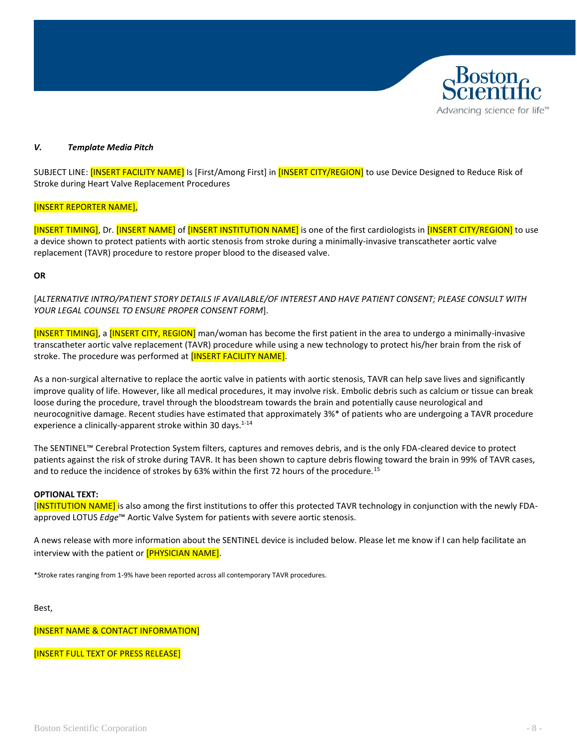# Advancing science for life<sup>™</sup>

#### <span id="page-7-0"></span>*V. Template Media Pitch*

SUBJECT LINE: [INSERT FACILITY NAME] Is [First/Among First] in [INSERT CITY/REGION] to use Device Designed to Reduce Risk of Stroke during Heart Valve Replacement Procedures

#### [INSERT REPORTER NAME],

[INSERT TIMING], Dr. [INSERT NAME] of [INSERT INSTITUTION NAME] is one of the first cardiologists in [INSERT CITY/REGION] to use a device shown to protect patients with aortic stenosis from stroke during a minimally-invasive transcatheter aortic valve replacement (TAVR) procedure to restore proper blood to the diseased valve.

#### **OR**

[*ALTERNATIVE INTRO/PATIENT STORY DETAILS IF AVAILABLE/OF INTEREST AND HAVE PATIENT CONSENT; PLEASE CONSULT WITH YOUR LEGAL COUNSEL TO ENSURE PROPER CONSENT FORM*].

[INSERT TIMING], a [INSERT CITY, REGION] man/woman has become the first patient in the area to undergo a minimally-invasive transcatheter aortic valve replacement (TAVR) procedure while using a new technology to protect his/her brain from the risk of stroke. The procedure was performed at [INSERT FACILITY NAME].

As a non-surgical alternative to replace the aortic valve in patients with aortic stenosis, TAVR can help save lives and significantly improve quality of life. However, like all medical procedures, it may involve risk. Embolic debris such as calcium or tissue can break loose during the procedure, travel through the bloodstream towards the brain and potentially cause neurological and neurocognitive damage. Recent studies have estimated that approximately 3%\* of patients who are undergoing a TAVR procedure experience a clinically-apparent stroke within 30 days.<sup>1-14</sup>

The SENTINEL™ Cerebral Protection System filters, captures and removes debris, and is the only FDA-cleared device to protect patients against the risk of stroke during TAVR. It has been shown to capture debris flowing toward the brain in 99% of TAVR cases, and to reduce the incidence of strokes by 63% within the first 72 hours of the procedure.<sup>15</sup>

#### **OPTIONAL TEXT:**

[INSTITUTION NAME] is also among the first institutions to offer this protected TAVR technology in conjunction with the newly FDAapproved LOTUS *Edge*™ Aortic Valve System for patients with severe aortic stenosis.

A news release with more information about the SENTINEL device is included below. Please let me know if I can help facilitate an interview with the patient or **[PHYSICIAN NAME]**.

\*Stroke rates ranging from 1-9% have been reported across all contemporary TAVR procedures.

Best,

[INSERT NAME & CONTACT INFORMATION]

[INSERT FULL TEXT OF PRESS RELEASE]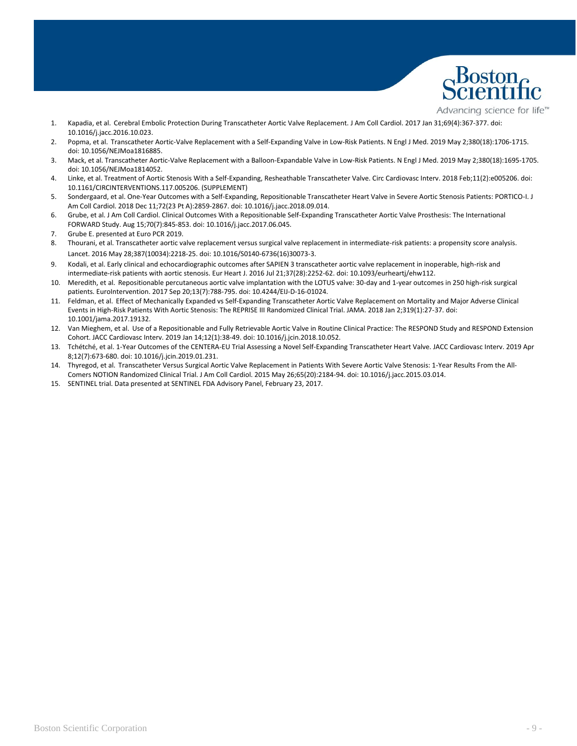

Advancing science for life<sup>™</sup>

- 1. Kapadia, et al. Cerebral Embolic Protection During Transcatheter Aortic Valve Replacement. J Am Coll Cardiol. 2017 Jan 31;69(4):367-377. doi: 10.1016/j.jacc.2016.10.023.
- 2. Popma, et al. Transcatheter Aortic-Valve Replacement with a Self-Expanding Valve in Low-Risk Patients. N Engl J Med. 2019 May 2;380(18):1706-1715. doi: 10.1056/NEJMoa1816885.
- 3. Mack, et al. Transcatheter Aortic-Valve Replacement with a Balloon-Expandable Valve in Low-Risk Patients. N Engl J Med. 2019 May 2;380(18):1695-1705. doi: 10.1056/NEJMoa1814052.
- 4. Linke, et al. Treatment of Aortic Stenosis With a Self-Expanding, Resheathable Transcatheter Valve. Circ Cardiovasc Interv. 2018 Feb;11(2):e005206. doi: 10.1161/CIRCINTERVENTIONS.117.005206. (SUPPLEMENT)
- 5. Sondergaard, et al. One-Year Outcomes with a Self-Expanding, Repositionable Transcatheter Heart Valve in Severe Aortic Stenosis Patients: PORTICO-I. J Am Coll Cardiol. 2018 Dec 11;72(23 Pt A):2859-2867. doi: 10.1016/j.jacc.2018.09.014.
- 6. Grube, et al. J Am Coll Cardiol. Clinical Outcomes With a Repositionable Self-Expanding Transcatheter Aortic Valve Prosthesis: The International FORWARD Study. Aug 15;70(7):845-853. doi: 10.1016/j.jacc.2017.06.045.
- 7. Grube E. presented at Euro PCR 2019.
- 8. Thourani, et al. Transcatheter aortic valve replacement versus surgical valve replacement in intermediate-risk patients: a propensity score analysis. Lancet. 2016 May 28;387(10034):2218-25. doi: 10.1016/S0140-6736(16)30073-3.
- 9. Kodali, et al. Early clinical and echocardiographic outcomes after SAPIEN 3 transcatheter aortic valve replacement in inoperable, high-risk and intermediate-risk patients with aortic stenosis. Eur Heart J. 2016 Jul 21;37(28):2252-62. doi: 10.1093/eurheartj/ehw112.
- 10. Meredith, et al. Repositionable percutaneous aortic valve implantation with the LOTUS valve: 30-day and 1-year outcomes in 250 high-risk surgical patients. EuroIntervention. 2017 Sep 20;13(7):788-795. doi: 10.4244/EIJ-D-16-01024.
- 11. Feldman, et al. Effect of Mechanically Expanded vs Self-Expanding Transcatheter Aortic Valve Replacement on Mortality and Major Adverse Clinical Events in High-Risk Patients With Aortic Stenosis: The REPRISE III Randomized Clinical Trial. JAMA. 2018 Jan 2;319(1):27-37. doi: 10.1001/jama.2017.19132.
- 12. Van Mieghem, et al. Use of a Repositionable and Fully Retrievable Aortic Valve in Routine Clinical Practice: The RESPOND Study and RESPOND Extension Cohort. JACC Cardiovasc Interv. 2019 Jan 14;12(1):38-49. doi: 10.1016/j.jcin.2018.10.052.
- 13. Tchétché, et al. 1-Year Outcomes of the CENTERA-EU Trial Assessing a Novel Self-Expanding Transcatheter Heart Valve. JACC Cardiovasc Interv. 2019 Apr 8;12(7):673-680. doi: 10.1016/j.jcin.2019.01.231.
- 14. Thyregod, et al. Transcatheter Versus Surgical Aortic Valve Replacement in Patients With Severe Aortic Valve Stenosis: 1-Year Results From the All-Comers NOTION Randomized Clinical Trial. J Am Coll Cardiol. 2015 May 26;65(20):2184-94. doi: 10.1016/j.jacc.2015.03.014.
- 15. SENTINEL trial. Data presented at SENTINEL FDA Advisory Panel, February 23, 2017.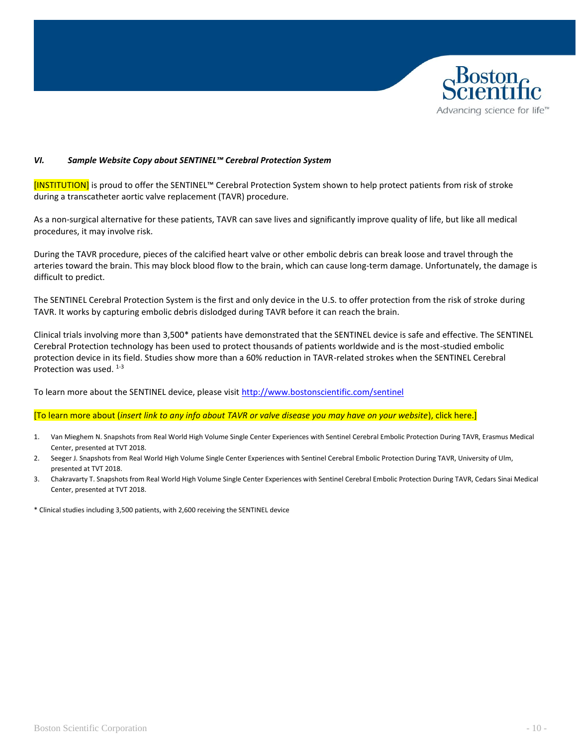

#### *VI. Sample Website Copy about SENTINEL™ Cerebral Protection System*

<span id="page-9-0"></span>[INSTITUTION] is proud to offer the SENTINEL™ Cerebral Protection System shown to help protect patients from risk of stroke during a transcatheter aortic valve replacement (TAVR) procedure.

As a non-surgical alternative for these patients, TAVR can save lives and significantly improve quality of life, but like all medical procedures, it may involve risk.

During the TAVR procedure, pieces of the calcified heart valve or other embolic debris can break loose and travel through the arteries toward the brain. This may block blood flow to the brain, which can cause long-term damage. Unfortunately, the damage is difficult to predict.

The SENTINEL Cerebral Protection System is the first and only device in the U.S. to offer protection from the risk of stroke during TAVR. It works by capturing embolic debris dislodged during TAVR before it can reach the brain.

Clinical trials involving more than 3,500\* patients have demonstrated that the SENTINEL device is safe and effective. The SENTINEL Cerebral Protection technology has been used to protect thousands of patients worldwide and is the most-studied embolic protection device in its field. Studies show more than a 60% reduction in TAVR-related strokes when the SENTINEL Cerebral Protection was used.  $1-3$ 

To learn more about the SENTINEL device, please visi[t http://www.bostonscientific.com/sentinel](http://www.bostonscientific.com/sentinel)

#### [To learn more about (*insert link to any info about TAVR or valve disease you may have on your website*), click here.]

- 1. Van Mieghem N. Snapshots from Real World High Volume Single Center Experiences with Sentinel Cerebral Embolic Protection During TAVR, Erasmus Medical Center, presented at TVT 2018.
- 2. Seeger J. Snapshots from Real World High Volume Single Center Experiences with Sentinel Cerebral Embolic Protection During TAVR, University of Ulm, presented at TVT 2018.
- 3. Chakravarty T. Snapshots from Real World High Volume Single Center Experiences with Sentinel Cerebral Embolic Protection During TAVR, Cedars Sinai Medical Center, presented at TVT 2018.
- \* Clinical studies including 3,500 patients, with 2,600 receiving the SENTINEL device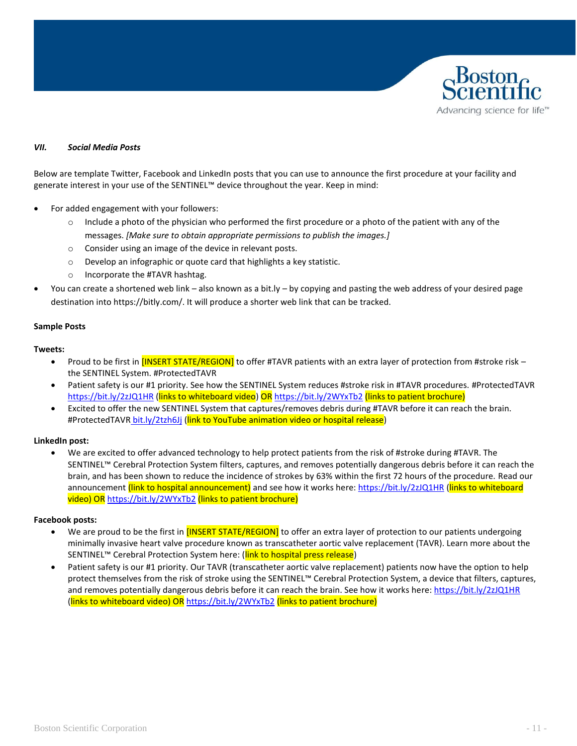

#### <span id="page-10-0"></span>*VII. Social Media Posts*

Below are template Twitter, Facebook and LinkedIn posts that you can use to announce the first procedure at your facility and generate interest in your use of the SENTINEL™ device throughout the year. Keep in mind:

- For added engagement with your followers:
	- $\circ$  Include a photo of the physician who performed the first procedure or a photo of the patient with any of the messages. *[Make sure to obtain appropriate permissions to publish the images.]*
	- o Consider using an image of the device in relevant posts.
	- o Develop an infographic or quote card that highlights a key statistic.
	- o Incorporate the #TAVR hashtag.
- You can create a shortened web link also known as a bit.ly by copying and pasting the web address of your desired page destination into https://bitly.com/. It will produce a shorter web link that can be tracked.

#### **Sample Posts**

#### **Tweets:**

- Proud to be first in [INSERT STATE/REGION] to offer #TAVR patients with an extra layer of protection from #stroke risk the SENTINEL System. #ProtectedTAVR
- Patient safety is our #1 priority. See how the SENTINEL System reduces #stroke risk in #TAVR procedures. #ProtectedTAVR <https://bit.ly/2zJQ1HR> (links to whiteboard video) OR <https://bit.ly/2WYxTb2> (links to patient brochure)
- Excited to offer the new SENTINEL System that captures/removes debris during #TAVR before it can reach the brain. #ProtectedTAVR [bit.ly/2tzh6Jj](https://www.youtube.com/watch?v=Jx9y7HhYyj4) (link to YouTube animation video or hospital release)

#### **LinkedIn post:**

• We are excited to offer advanced technology to help protect patients from the risk of #stroke during #TAVR. The SENTINEL™ Cerebral Protection System filters, captures, and removes potentially dangerous debris before it can reach the brain, and has been shown to reduce the incidence of strokes by 63% within the first 72 hours of the procedure. Read our announcement (link to hospital announcement) and see how it works here:<https://bit.ly/2zJQ1HR> (links to whiteboard video) OR <https://bit.ly/2WYxTb2> (links to patient brochure)

#### **Facebook posts:**

- We are proud to be the first in **[INSERT STATE/REGION]** to offer an extra layer of protection to our patients undergoing minimally invasive heart valve procedure known as transcatheter aortic valve replacement (TAVR). Learn more about the SENTINEL™ Cerebral Protection System here: (link to hospital press release)
- Patient safety is our #1 priority. Our TAVR (transcatheter aortic valve replacement) patients now have the option to help protect themselves from the risk of stroke using the SENTINEL™ Cerebral Protection System, a device that filters, captures, and removes potentially dangerous debris before it can reach the brain. See how it works here:<https://bit.ly/2zJQ1HR> (links to whiteboard video) OR <https://bit.ly/2WYxTb2> (links to patient brochure)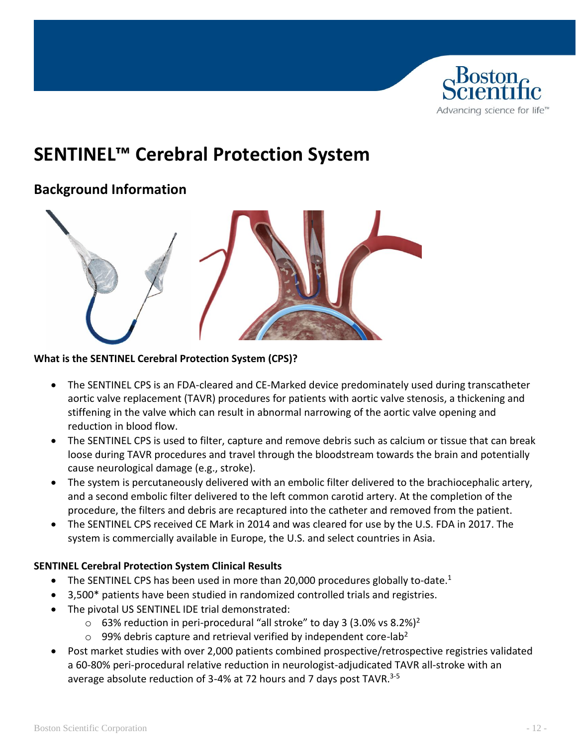

# <span id="page-11-0"></span>**SENTINEL™ Cerebral Protection System**

## **Background Information**



### **What is the SENTINEL Cerebral Protection System (CPS)?**

- The SENTINEL CPS is an FDA-cleared and CE-Marked device predominately used during transcatheter aortic valve replacement (TAVR) procedures for patients with aortic valve stenosis, a thickening and stiffening in the valve which can result in abnormal narrowing of the aortic valve opening and reduction in blood flow.
- The SENTINEL CPS is used to filter, capture and remove debris such as calcium or tissue that can break loose during TAVR procedures and travel through the bloodstream towards the brain and potentially cause neurological damage (e.g., stroke).
- The system is percutaneously delivered with an embolic filter delivered to the brachiocephalic artery, and a second embolic filter delivered to the left common carotid artery. At the completion of the procedure, the filters and debris are recaptured into the catheter and removed from the patient.
- The SENTINEL CPS received CE Mark in 2014 and was cleared for use by the U.S. FDA in 2017. The system is commercially available in Europe, the U.S. and select countries in Asia.

### **SENTINEL Cerebral Protection System Clinical Results**

- The SENTINEL CPS has been used in more than 20,000 procedures globally to-date.<sup>1</sup>
- 3,500\* patients have been studied in randomized controlled trials and registries.
- The pivotal US SENTINEL IDE trial demonstrated:
	- $\circ$  63% reduction in peri-procedural "all stroke" to day 3 (3.0% vs 8.2%)<sup>2</sup>
	- $\circ$  99% debris capture and retrieval verified by independent core-lab<sup>2</sup>
- Post market studies with over 2,000 patients combined prospective/retrospective registries validated a 60-80% peri-procedural relative reduction in neurologist-adjudicated TAVR all-stroke with an average absolute reduction of 3-4% at 72 hours and 7 days post TAVR.<sup>3-5</sup>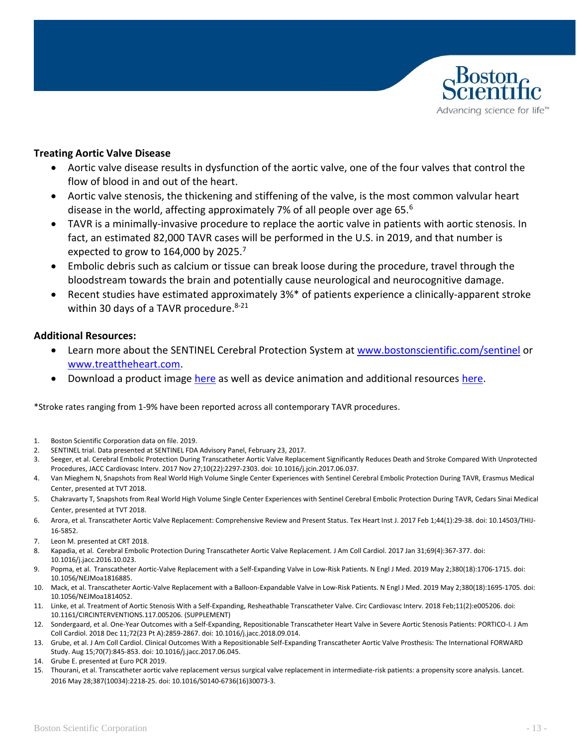

#### **Treating Aortic Valve Disease**

- Aortic valve disease results in dysfunction of the aortic valve, one of the four valves that control the flow of blood in and out of the heart.
- Aortic valve stenosis, the thickening and stiffening of the valve, is the most common valvular heart disease in the world, affecting approximately 7% of all people over age 65.<sup>6</sup>
- TAVR is a minimally-invasive procedure to replace the aortic valve in patients with aortic stenosis. In fact, an estimated 82,000 TAVR cases will be performed in the U.S. in 2019, and that number is expected to grow to 164,000 by 2025.<sup>7</sup>
- Embolic debris such as calcium or tissue can break loose during the procedure, travel through the bloodstream towards the brain and potentially cause neurological and neurocognitive damage.
- Recent studies have estimated approximately 3%\* of patients experience a clinically-apparent stroke within 30 days of a TAVR procedure. 8-21

#### **Additional Resources:**

- Learn more about the SENTINEL Cerebral Protection System at [www.bostonscientific.com/sentinel](http://www.bostonscientific.com/sentinel) or [www.treattheheart.com.](http://www.treattheheart.com/)
- Download a product image [here](http://news.bostonscientific.com/image-gallery?cat=2982) as well as device animation and additional resources [here.](https://www.bostonscientific.com/en-US/medical-specialties/structural-heart/sentinel-cerebral-protection-system/sentinel-resources.html)

\*Stroke rates ranging from 1-9% have been reported across all contemporary TAVR procedures.

- 1. Boston Scientific Corporation data on file. 2019.
- 2. SENTINEL trial. Data presented at SENTINEL FDA Advisory Panel, February 23, 2017.
- 3. Seeger, et al. Cerebral Embolic Protection During Transcatheter Aortic Valve Replacement Significantly Reduces Death and Stroke Compared With Unprotected Procedures, JACC Cardiovasc Interv. 2017 Nov 27;10(22):2297-2303. doi: 10.1016/j.jcin.2017.06.037.
- 4. Van Mieghem N, Snapshots from Real World High Volume Single Center Experiences with Sentinel Cerebral Embolic Protection During TAVR, Erasmus Medical Center, presented at TVT 2018.
- 5. Chakravarty T, Snapshots from Real World High Volume Single Center Experiences with Sentinel Cerebral Embolic Protection During TAVR, Cedars Sinai Medical Center, presented at TVT 2018.
- 6. Arora, et al. Transcatheter Aortic Valve Replacement: Comprehensive Review and Present Status. Tex Heart Inst J. 2017 Feb 1;44(1):29-38. doi: 10.14503/THIJ-16-5852.
- 7. Leon M. presented at CRT 2018.
- 8. Kapadia, et al. Cerebral Embolic Protection During Transcatheter Aortic Valve Replacement. J Am Coll Cardiol. 2017 Jan 31;69(4):367-377. doi: 10.1016/j.jacc.2016.10.023.
- 9. Popma, et al. Transcatheter Aortic-Valve Replacement with a Self-Expanding Valve in Low-Risk Patients. N Engl J Med. 2019 May 2;380(18):1706-1715. doi: 10.1056/NEJMoa1816885.
- 10. Mack, et al. Transcatheter Aortic-Valve Replacement with a Balloon-Expandable Valve in Low-Risk Patients. N Engl J Med. 2019 May 2;380(18):1695-1705. doi: 10.1056/NEJMoa1814052.
- 11. Linke, et al. Treatment of Aortic Stenosis With a Self-Expanding, Resheathable Transcatheter Valve. Circ Cardiovasc Interv. 2018 Feb;11(2):e005206. doi: 10.1161/CIRCINTERVENTIONS.117.005206. (SUPPLEMENT)
- 12. Sondergaard, et al. One-Year Outcomes with a Self-Expanding, Repositionable Transcatheter Heart Valve in Severe Aortic Stenosis Patients: PORTICO-I. J Am Coll Cardiol. 2018 Dec 11;72(23 Pt A):2859-2867. doi: 10.1016/j.jacc.2018.09.014.
- 13. Grube, et al. J Am Coll Cardiol. Clinical Outcomes With a Repositionable Self-Expanding Transcatheter Aortic Valve Prosthesis: The International FORWARD Study. Aug 15;70(7):845-853. doi: 10.1016/j.jacc.2017.06.045.
- 14. Grube E. presented at Euro PCR 2019.
- 15. Thourani, et al. Transcatheter aortic valve replacement versus surgical valve replacement in intermediate-risk patients: a propensity score analysis. Lancet. 2016 May 28;387(10034):2218-25. doi: 10.1016/S0140-6736(16)30073-3.